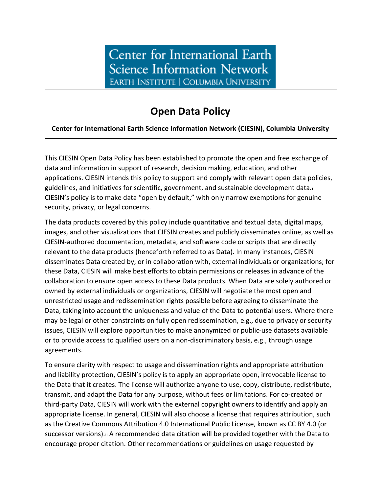## **Open Data Policy**

## **Center for International Earth Science Information Network (CIESIN), Columbia University**

This CIESIN Open Data Policy has been established to promote the open and free exchange of data and information in support of research, decision making, education, and other applications. CIESIN intends this policy to support and comply with relevant open data policies, guidelines, and initiatives for scientific, government, and sustainable development data[.i](#page-1-0) CIESIN's policy is to make data "open by default," with only narrow exemptions for genuine security, privacy, or legal concerns.

The data products covered by this policy include quantitative and textual data, digital maps, images, and other visualizations that CIESIN creates and publicly disseminates online, as well as CIESIN-authored documentation, metadata, and software code or scripts that are directly relevant to the data products (henceforth referred to as Data). In many instances, CIESIN disseminates Data created by, or in collaboration with, external individuals or organizations; for these Data, CIESIN will make best efforts to obtain permissions or releases in advance of the collaboration to ensure open access to these Data products. When Data are solely authored or owned by external individuals or organizations, CIESIN will negotiate the most open and unrestricted usage and redissemination rights possible before agreeing to disseminate the Data, taking into account the uniqueness and value of the Data to potential users. Where there may be legal or other constraints on fully open redissemination, e.g., due to privacy or security issues, CIESIN will explore opportunities to make anonymized or public-use datasets available or to provide access to qualified users on a non-discriminatory basis, e.g., through usage agreements.

To ensure clarity with respect to usage and dissemination rights and appropriate attribution and liability protection, CIESIN's policy is to apply an appropriate open, irrevocable license to the Data that it creates. The license will authorize anyone to use, copy, distribute, redistribute, transmit, and adapt the Data for any purpose, without fees or limitations. For co-created or third-party Data, CIESIN will work with the external copyright owners to identify and apply an appropriate license. In general, CIESIN will also choose a license that requires attribution, such as the Creative Commons Attribution 4.0 International Public License, known as CC BY 4.0 (or successor versions).[ii](#page-1-1) A recommended data citation will be provided together with the Data to encourage proper citation. Other recommendations or guidelines on usage requested by